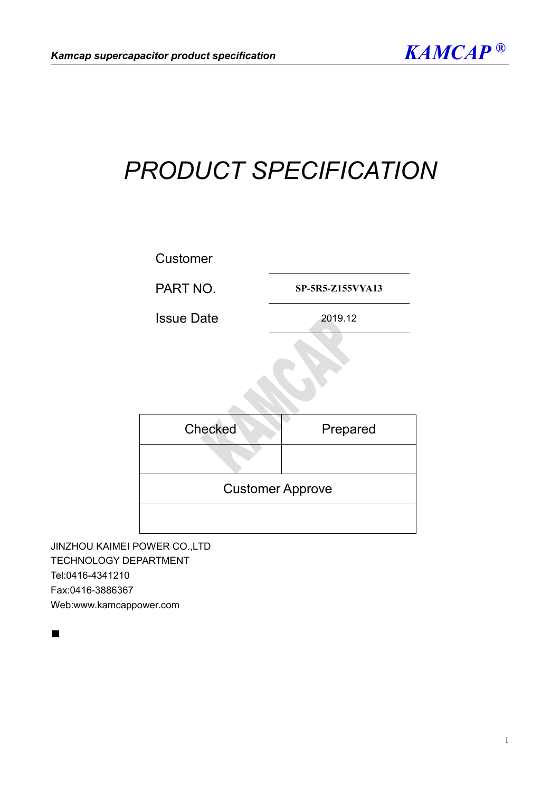

# *PRODUCT SPECIFICATION*



PART NO. **SP-5R5-Z155VYA13**

Issue Date 2019.12

| Checked                 | Prepared |
|-------------------------|----------|
|                         |          |
| <b>Customer Approve</b> |          |
|                         |          |

JINZHOU KAIMEI POWER CO.,LTD TECHNOLOGY DEPARTMENT Tel:0416-4341210 Fax:0416-3886367 Web:www.kamcappower.com

■ Professional Control of Control of Control of Control of Control of Control of Control of Control of Control of Control of Control of Control of Control of Control of Control of Control of Control of Control of Control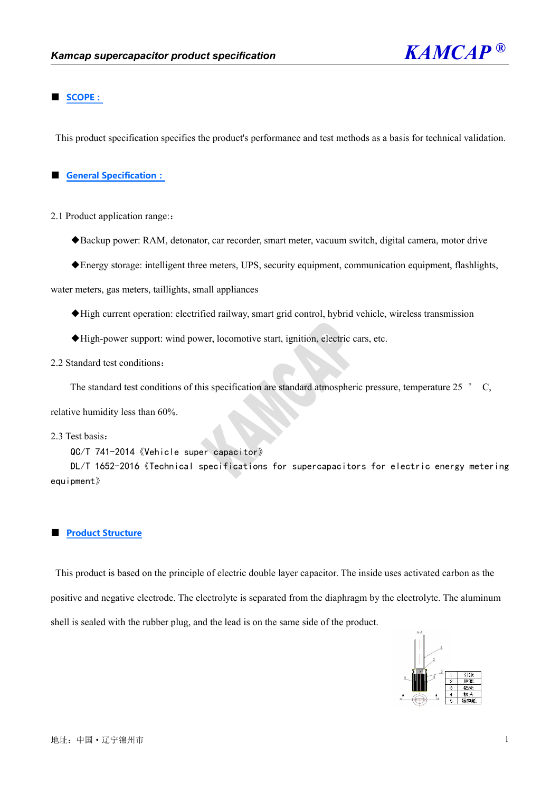

### **■ SCOPE:**

This product specification specifies the product's performance and test methods as a basis for technical validation.

### **■ General Specification:**

- 2.1 Product application range::
	- ◆Backup power: RAM, detonator, car recorder, smart meter, vacuum switch, digital camera, motor drive
	- ◆Energy storage: intelligent three meters, UPS, security equipment, communication equipment, flashlights,

water meters, gas meters, taillights, small appliances

- ◆High current operation: electrified railway, smart grid control, hybrid vehicle, wireless transmission
- ◆High-power support: wind power, locomotive start, ignition, electric cars, etc.
- 2.2 Standard test conditions:

The standard test conditions of this specification are standard atmospheric pressure, temperature 25  $\degree$  C,

relative humidity less than 60%.

2.3 Test basis:

QC/T 741-2014《Vehicle super capacitor》

DL/T 1652-2016《Technical specifications for supercapacitors for electric energy metering equipment》

#### **■ Product Structure**

This product is based on the principle of electric double layer capacitor. The inside uses activated carbon as the positive and negative electrode. The electrolyte is separated from the diaphragm by the electrolyte. The aluminum shell is sealed with the rubber plug, and the lead is on the same side of the product.

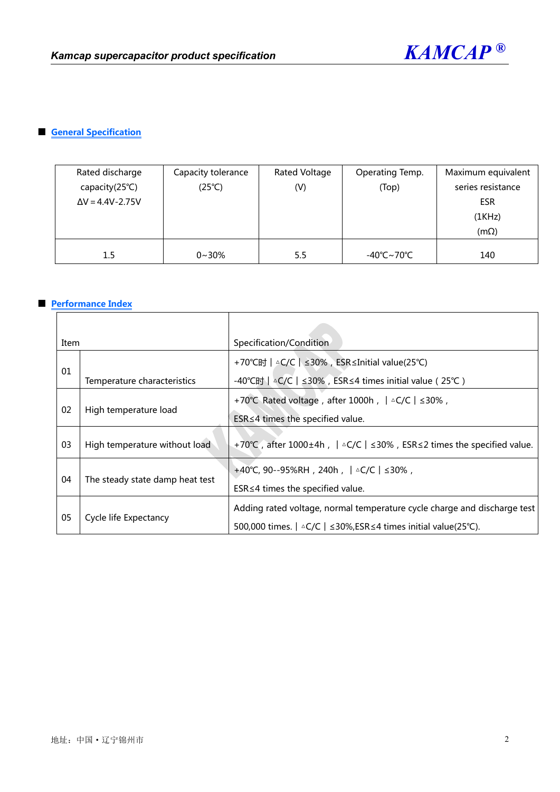

# **■ General Specification**

| Rated discharge<br>capacity(25°C)<br>$\Delta V = 4.4V - 2.75V$ | Capacity tolerance<br>$(25^{\circ}C)$ | Rated Voltage<br>(V) | Operating Temp.<br>(Top) | Maximum equivalent<br>series resistance<br><b>ESR</b><br>(1KHz)<br>$(m\Omega)$ |
|----------------------------------------------------------------|---------------------------------------|----------------------|--------------------------|--------------------------------------------------------------------------------|
| $1.5\,$                                                        | $0 - 30%$                             | 5.5                  | -40℃~70℃                 | 140                                                                            |

### **■ Performance Index**

| Item                        |                                 | Specification/Condition                                                                        |
|-----------------------------|---------------------------------|------------------------------------------------------------------------------------------------|
| 01                          |                                 | +70°C时   △C/C   ≤30%, ESR≤Initial value(25°C)                                                  |
|                             | Temperature characteristics     | -40 °C时   △C/C   ≤30%, ESR ≤ 4 times initial value (25 °C)                                     |
| 02<br>High temperature load |                                 | +70°C Rated voltage, after 1000h, $  \triangle C/C   \leq 30\%$ ,                              |
|                             |                                 | $ESR \leq 4$ times the specified value.                                                        |
| 03                          | High temperature without load   | +70°C, after 1000±4h, $\vert \triangle$ C/C   ≤30%, ESR ≤2 times the specified value.          |
|                             |                                 | +40°C, 90--95%RH, 240h,  △C/C   ≤30%,                                                          |
| 04                          | The steady state damp heat test | $ESR \leq 4$ times the specified value.                                                        |
|                             | Cycle life Expectancy           | Adding rated voltage, normal temperature cycle charge and discharge test                       |
| 05                          |                                 | 500,000 times. $\vert \triangle$ C/C $\vert \leq$ 30%, ESR $\leq$ 4 times initial value(25°C). |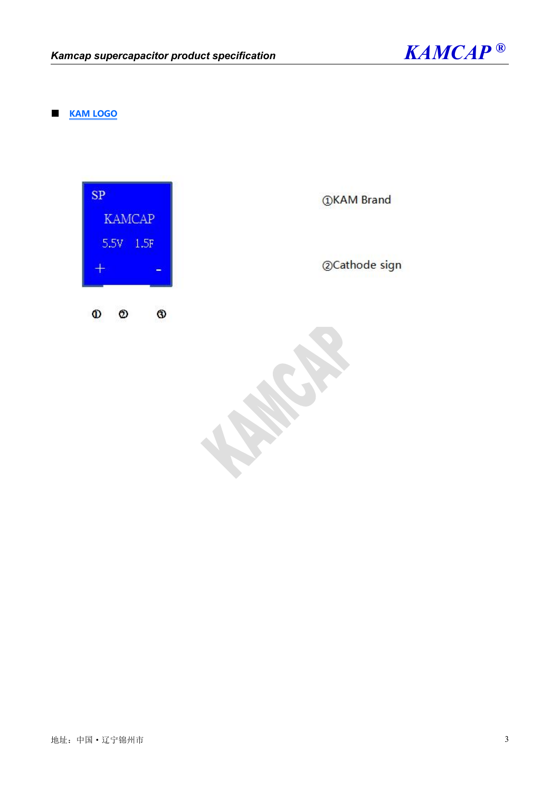

### ■ **KAM LOGO**



*OKAM Brand* 

@Cathode sign

 $\mathbf{v}$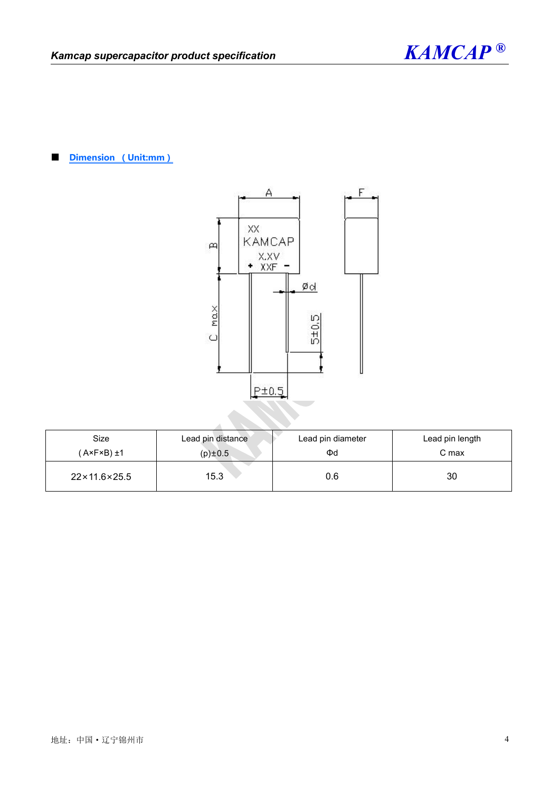



■ **Dimension (Unit:mm)**



| Size                          | Lead pin distance | Lead pin diameter | Lead pin length |
|-------------------------------|-------------------|-------------------|-----------------|
| $(A \times F \times B) \pm 1$ | $(p) \pm 0.5$     | Φd                | C max           |
| $22 \times 11.6 \times 25.5$  | 15.3              | 0.6               | 30              |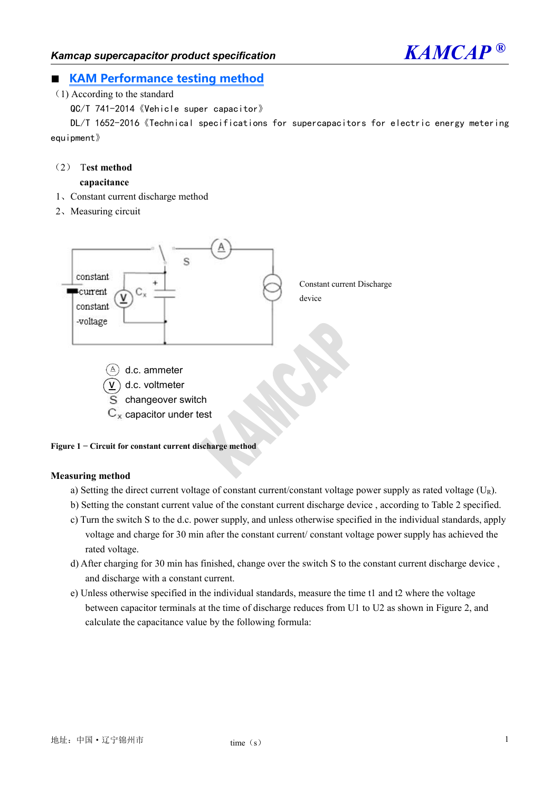

## ■ **KAM Performance testing method**

(1) According to the standard

QC/T 741-2014《Vehicle super capacitor》

DL/T 1652-2016《Technical specifications for supercapacitors for electric energy metering equipment》

# (2) T**est method**

# **capacitance**

- 1、Constant current discharge method
- 2、Measuring circuit





 $C_x$  capacitor under test

### **Measuring method**

- a) Setting the direct current voltage of constant current/constant voltage power supply as rated voltage  $(U_R)$ .
- b) Setting the constant current value of the constant current discharge device , according to Table 2 specified.
- c) Turn the switch S tothe d.c. power supply, and unless otherwise specified in the individual standards, apply voltage and charge for 30 min after the constant current/ constant voltage power supply has achieved the rated voltage.
- d) After charging for 30 min has finished, change over the switch S to the constant current discharge device , and discharge with a constant current.
- e) Unless otherwise specified in the individual standards, measure the time t1 and t2 where the voltage between capacitor terminals at the time of discharge reduces from U1 to U2 as shown in Figure 2, and calculate the capacitance value by the following formula: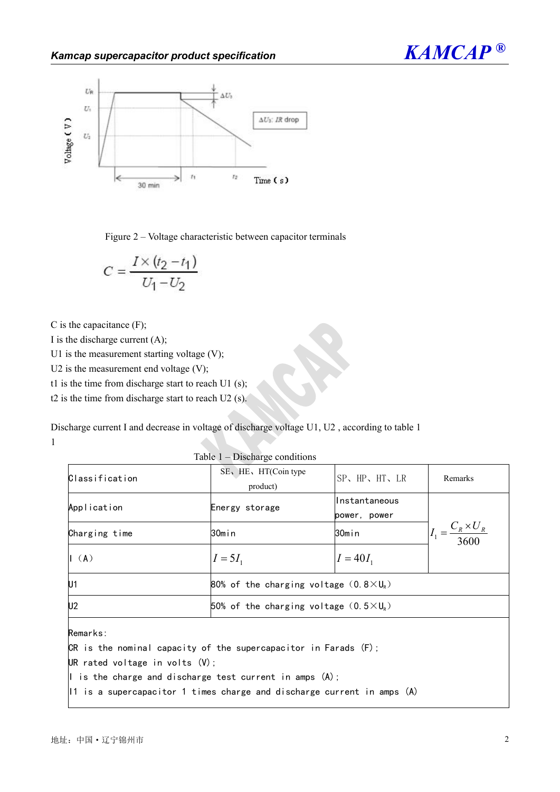

Figure 2 – Voltage characteristic between capacitor terminals

$$
C = \frac{I \times (t_2 - t_1)}{U_1 - U_2}
$$

C is the capacitance (F);

I is the discharge current  $(A)$ ;

U1 is the measurement starting voltage  $(V)$ ;

U2 is the measurement end voltage  $(V)$ ;

t1 is the time from discharge start to reach U1 (s);

t2 is the time from discharge start to reach U2 (s).

Discharge current I and decrease in voltage of discharge voltage U1, U2, according to table 1 1

Classification SE、HE、HT(Coin type product) SP、HP、HT、LR Remarks Application **Energy** storage Instantaneous power, power  $I_1 = \frac{C_R \times U_R}{3600}$ Charging time 30min 30min 30min  $I_1 = \frac{C_R \times U_R}{2 \times 10^{11} \text{ m}^3}$  $I = 5I_1$   $I = 40I_1$ U1 80% of the charging voltage  $(0.8\times U_R)$ U2 50% of the charging voltage  $(0.5\times U_R)$ Remarks: CR is the nominal capacity of the supercapacitor in Farads  $(F)$ ; UR rated voltage in volts (V); I is the charge and discharge test current in amps  $(A)$ ;

Table 1 – Discharge conditions

 $|11|$  is a supercapacitor 1 times charge and discharge current in amps  $(A)$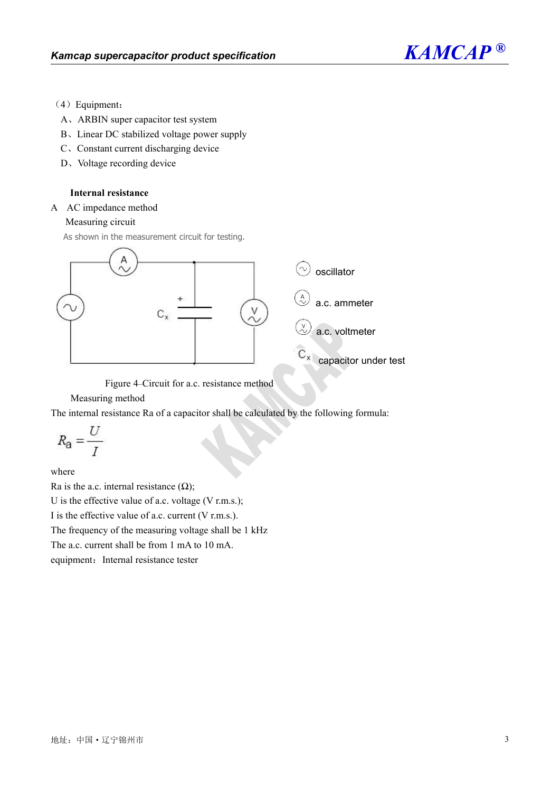

- (4) Equipment:
- A、ARBIN super capacitor test system
- B、Linear DC stabilized voltage power supply
- C、Constant current discharging device
- D、Voltage recording device

### **Internal resistance**

A AC impedance method

### Measuring circuit

As shown in the measurement circuit for testing.



Figure 4–Circuit for a.c. resistance method

Measuring method

The internal resistance Ra of a capacitor shall be calculated by the following formula:

$$
R_{\mathbf{a}} = \frac{U}{I}
$$

where

Ra is the a.c. internal resistance  $(\Omega)$ ;

U is the effective value of a.c. voltage (V r.m.s.);

I is the effective value of a.c. current (V r.m.s.).

The frequency of the measuring voltage shall be 1 kHz

The a.c. current shall be from 1 mA to 10 mA.

equipment: Internal resistance tester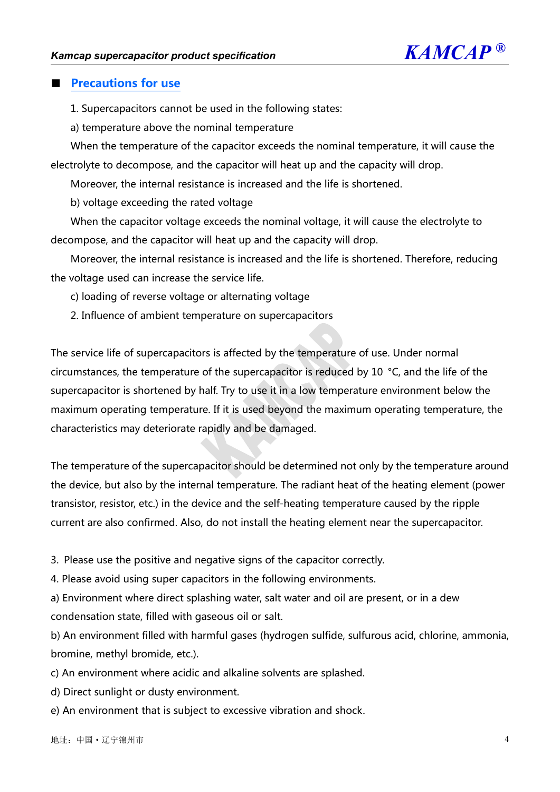

# ■ **Precautions for use**

1. Supercapacitors cannot be used in the following states:

a) temperature above the nominal temperature

When the temperature of the capacitor exceeds the nominal temperature, it will cause the electrolyte to decompose, and the capacitor will heat up and the capacity will drop.

Moreover, the internal resistance is increased and the life is shortened.

b) voltage exceeding the rated voltage

When the capacitor voltage exceeds the nominal voltage, it will cause the electrolyte to decompose, and the capacitor will heat up and the capacity will drop.

Moreover, the internal resistance is increased and the life is shortened. Therefore, reducing the voltage used can increase the service life.

c) loading of reverse voltage or alternating voltage

2. Influence of ambient temperature on supercapacitors

The service life of supercapacitors is affected by the temperature of use. Under normal circumstances, the temperature of the supercapacitor is reduced by 10 °C, and the life of the supercapacitor is shortened by half. Try to use it in a low temperature environment below the maximum operating temperature. If it is used beyond the maximum operating temperature, the characteristics may deteriorate rapidly and be damaged.

The temperature of the supercapacitor should be determined not only by the temperature around the device, but also by the internal temperature. The radiant heat of the heating element (power transistor, resistor, etc.) in the device and the self-heating temperature caused by the ripple current are also confirmed. Also, do not install the heating element near the supercapacitor.

3. Please use the positive and negative signs of the capacitor correctly.

4. Please avoid using super capacitors in the following environments.

a) Environment where direct splashing water, salt water and oil are present, or in a dew condensation state, filled with gaseous oil or salt.

b) An environment filled with harmful gases (hydrogen sulfide, sulfurous acid, chlorine, ammonia, bromine, methyl bromide, etc.).

c) An environment where acidic and alkaline solvents are splashed.

d) Direct sunlight or dusty environment.

e) An environment that is subject to excessive vibration and shock.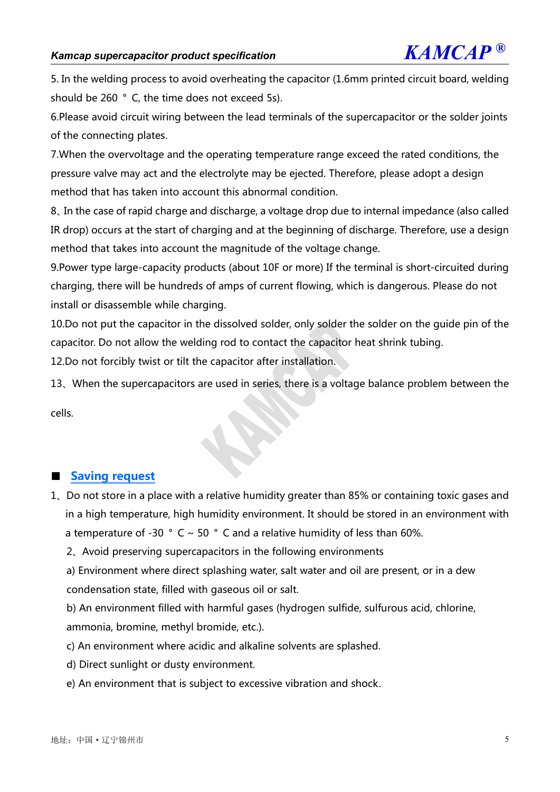5. In the welding process to avoid overheating the capacitor (1.6mm printed circuit board, welding should be 260 °C, the time does not exceed 5s).

6.Please avoid circuit wiring between the lead terminals of the supercapacitor or the solder joints of the connecting plates.

7.When the overvoltage and the operating temperature range exceed the rated conditions, the pressure valve may act and the electrolyte may be ejected.Therefore, please adopt a design method that has taken into account this abnormal condition.

8、In the case of rapid charge and discharge, a voltage drop due to internal impedance (also called IR drop) occurs at the start of charging and at the beginning of discharge. Therefore, use a design method that takes into account the magnitude of the voltage change.

9.Power type large-capacity products (about 10F or more) If the terminal is short-circuited during charging, there will be hundreds of amps of current flowing, which is dangerous. Please do not install or disassemble while charging.

10.Do not put the capacitor in the dissolved solder, only solder the solder on the guide pin of the capacitor. Do not allow the welding rod to contact the capacitor heat shrink tubing.

12.Do not forcibly twist or tilt the capacitor after installation.

13、When the supercapacitors are used in series, there is a voltage balance problem between the

cells.

# ■ **Saving** request

1、Do not store in a place with a relative humidity greater than 85% or containing toxic gases and in a high temperature, high humidity environment. It should be stored in an environment with a temperature of -30  $\degree$  C  $\sim$  50  $\degree$  C and a relative humidity of less than 60%.

2、Avoid preserving supercapacitors in the following environments

a) Environment where direct splashing water, salt water and oil are present, or in a dew condensation state, filled with gaseous oil or salt.

b) An environment filled with harmful gases (hydrogen sulfide, sulfurous acid, chlorine, ammonia, bromine, methyl bromide, etc.).

- c) An environment where acidic and alkaline solvents are splashed.
- d) Direct sunlight or dusty environment.
- e) An environment that is subject to excessive vibration and shock.